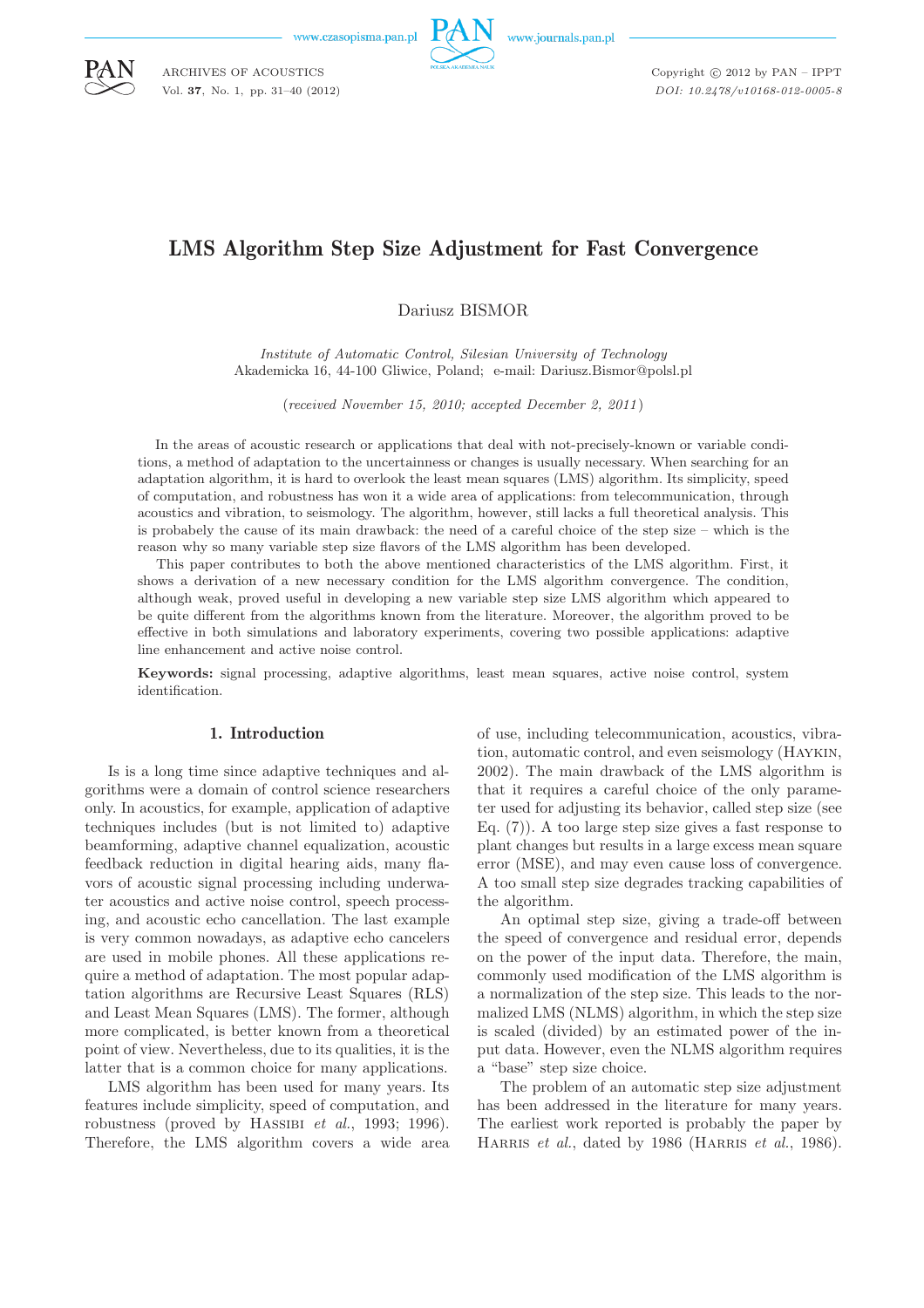www.czasopisma.pan.pl

ARCHIVES OF ACOUSTICS Vol. **37**, No. 1, pp. 31–40 (2012)



Copyright  $\odot$  2012 by PAN - IPPT *DOI: 10.2478/v10168-012-0005-8*

# LMS Algorithm Step Size Adjustment for Fast Convergence

Dariusz BISMOR

*Institute of Automatic Control, Silesian University of Technology* Akademicka 16, 44-100 Gliwice, Poland; e-mail: Dariusz.Bismor@polsl.pl

(*received November 15, 2010; accepted December 2, 2011*)

In the areas of acoustic research or applications that deal with not-precisely-known or variable conditions, a method of adaptation to the uncertainness or changes is usually necessary. When searching for an adaptation algorithm, it is hard to overlook the least mean squares (LMS) algorithm. Its simplicity, speed of computation, and robustness has won it a wide area of applications: from telecommunication, through acoustics and vibration, to seismology. The algorithm, however, still lacks a full theoretical analysis. This is probabely the cause of its main drawback: the need of a careful choice of the step size – which is the reason why so many variable step size flavors of the LMS algorithm has been developed.

This paper contributes to both the above mentioned characteristics of the LMS algorithm. First, it shows a derivation of a new necessary condition for the LMS algorithm convergence. The condition, although weak, proved useful in developing a new variable step size LMS algorithm which appeared to be quite different from the algorithms known from the literature. Moreover, the algorithm proved to be effective in both simulations and laboratory experiments, covering two possible applications: adaptive line enhancement and active noise control.

**Keywords:** signal processing, adaptive algorithms, least mean squares, active noise control, system identification.

#### 1. Introduction

Is is a long time since adaptive techniques and algorithms were a domain of control science researchers only. In acoustics, for example, application of adaptive techniques includes (but is not limited to) adaptive beamforming, adaptive channel equalization, acoustic feedback reduction in digital hearing aids, many flavors of acoustic signal processing including underwater acoustics and active noise control, speech processing, and acoustic echo cancellation. The last example is very common nowadays, as adaptive echo cancelers are used in mobile phones. All these applications require a method of adaptation. The most popular adaptation algorithms are Recursive Least Squares (RLS) and Least Mean Squares (LMS). The former, although more complicated, is better known from a theoretical point of view. Nevertheless, due to its qualities, it is the latter that is a common choice for many applications.

LMS algorithm has been used for many years. Its features include simplicity, speed of computation, and robustness (proved by HASSIBI *et al.*, 1993; 1996). Therefore, the LMS algorithm covers a wide area of use, including telecommunication, acoustics, vibration, automatic control, and even seismology (Haykin, 2002). The main drawback of the LMS algorithm is that it requires a careful choice of the only parameter used for adjusting its behavior, called step size (see Eq. (7)). A too large step size gives a fast response to plant changes but results in a large excess mean square error (MSE), and may even cause loss of convergence. A too small step size degrades tracking capabilities of the algorithm.

An optimal step size, giving a trade-off between the speed of convergence and residual error, depends on the power of the input data. Therefore, the main, commonly used modification of the LMS algorithm is a normalization of the step size. This leads to the normalized LMS (NLMS) algorithm, in which the step size is scaled (divided) by an estimated power of the input data. However, even the NLMS algorithm requires a "base" step size choice.

The problem of an automatic step size adjustment has been addressed in the literature for many years. The earliest work reported is probably the paper by HARRIS *et al.*, dated by 1986 (HARRIS *et al.*, 1986).

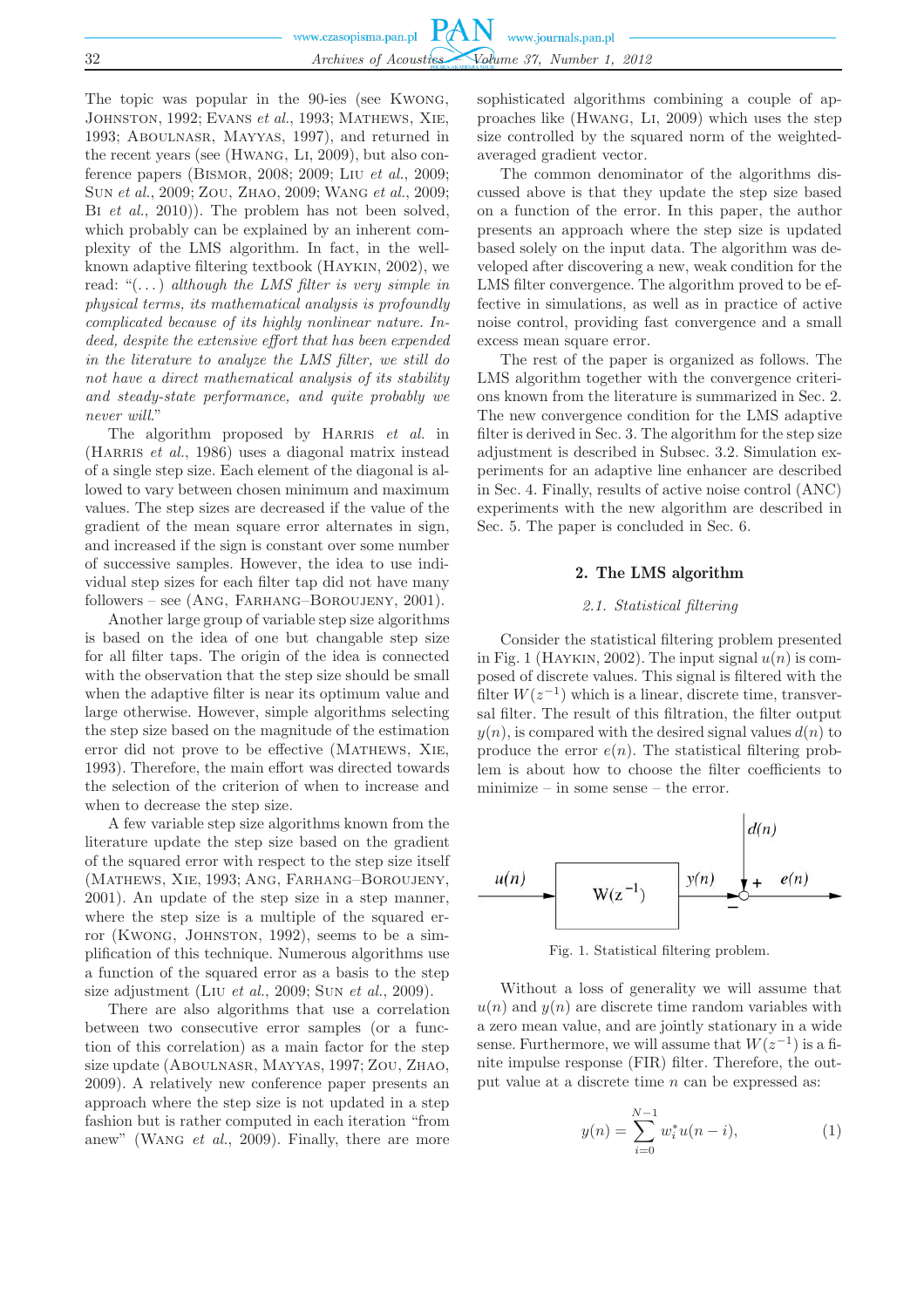|    | www.czasopisma.pan.pl $PAN$ www.journals.pan.pl |
|----|-------------------------------------------------|
|    |                                                 |
| 32 | Archives of Acoustics Volume 37, Number 1, 2012 |

The topic was popular in the 90-ies (see Kwong, Johnston, 1992; Evans *et al.*, 1993; Mathews, Xie, 1993; Aboulnasr, Mayyas, 1997), and returned in the recent years (see (Hwang, Li, 2009), but also conference papers (Bismor, 2008; 2009; Liu *et al.*, 2009; Sun *et al.*, 2009; Zou, Zhao, 2009; Wang *et al.*, 2009; BI *et al.*, 2010)). The problem has not been solved, which probably can be explained by an inherent complexity of the LMS algorithm. In fact, in the wellknown adaptive filtering textbook (Haykin, 2002), we read: "(. . . ) *although the LMS filter is very simple in physical terms, its mathematical analysis is profoundly complicated because of its highly nonlinear nature. Indeed, despite the extensive effort that has been expended in the literature to analyze the LMS filter, we still do not have a direct mathematical analysis of its stability and steady-state performance, and quite probably we never will*."

The algorithm proposed by HARRIS *et al.* in (HARRIS *et al.*, 1986) uses a diagonal matrix instead of a single step size. Each element of the diagonal is allowed to vary between chosen minimum and maximum values. The step sizes are decreased if the value of the gradient of the mean square error alternates in sign, and increased if the sign is constant over some number of successive samples. However, the idea to use individual step sizes for each filter tap did not have many followers – see (Ang, Farhang–Boroujeny, 2001).

Another large group of variable step size algorithms is based on the idea of one but changable step size for all filter taps. The origin of the idea is connected with the observation that the step size should be small when the adaptive filter is near its optimum value and large otherwise. However, simple algorithms selecting the step size based on the magnitude of the estimation error did not prove to be effective (Mathews, Xie, 1993). Therefore, the main effort was directed towards the selection of the criterion of when to increase and when to decrease the step size.

A few variable step size algorithms known from the literature update the step size based on the gradient of the squared error with respect to the step size itself (Mathews, Xie, 1993; Ang, Farhang–Boroujeny, 2001). An update of the step size in a step manner, where the step size is a multiple of the squared error (KWONG, JOHNSTON, 1992), seems to be a simplification of this technique. Numerous algorithms use a function of the squared error as a basis to the step size adjustment (Liu *et al.*, 2009; Sun *et al.*, 2009).

There are also algorithms that use a correlation between two consecutive error samples (or a function of this correlation) as a main factor for the step size update (Aboulnasr, Mayyas, 1997; Zou, Zhao, 2009). A relatively new conference paper presents an approach where the step size is not updated in a step fashion but is rather computed in each iteration "from anew" (Wang *et al.*, 2009). Finally, there are more

sophisticated algorithms combining a couple of approaches like (Hwang, Li, 2009) which uses the step size controlled by the squared norm of the weightedaveraged gradient vector.

The common denominator of the algorithms discussed above is that they update the step size based on a function of the error. In this paper, the author presents an approach where the step size is updated based solely on the input data. The algorithm was developed after discovering a new, weak condition for the LMS filter convergence. The algorithm proved to be effective in simulations, as well as in practice of active noise control, providing fast convergence and a small excess mean square error.

The rest of the paper is organized as follows. The LMS algorithm together with the convergence criterions known from the literature is summarized in Sec. 2. The new convergence condition for the LMS adaptive filter is derived in Sec. 3. The algorithm for the step size adjustment is described in Subsec. 3.2. Simulation experiments for an adaptive line enhancer are described in Sec. 4. Finally, results of active noise control (ANC) experiments with the new algorithm are described in Sec. 5. The paper is concluded in Sec. 6.

# 2. The LMS algorithm

# *2.1. Statistical filtering*

Consider the statistical filtering problem presented in Fig. 1 (HAYKIN, 2002). The input signal  $u(n)$  is composed of discrete values. This signal is filtered with the filter  $W(z^{-1})$  which is a linear, discrete time, transversal filter. The result of this filtration, the filter output  $y(n)$ , is compared with the desired signal values  $d(n)$  to produce the error  $e(n)$ . The statistical filtering problem is about how to choose the filter coefficients to minimize – in some sense – the error.



Fig. 1. Statistical filtering problem.

Without a loss of generality we will assume that  $u(n)$  and  $y(n)$  are discrete time random variables with a zero mean value, and are jointly stationary in a wide sense. Furthermore, we will assume that  $W(z^{-1})$  is a finite impulse response (FIR) filter. Therefore, the output value at a discrete time n can be expressed as:

$$
y(n) = \sum_{i=0}^{N-1} w_i^* u(n-i),
$$
 (1)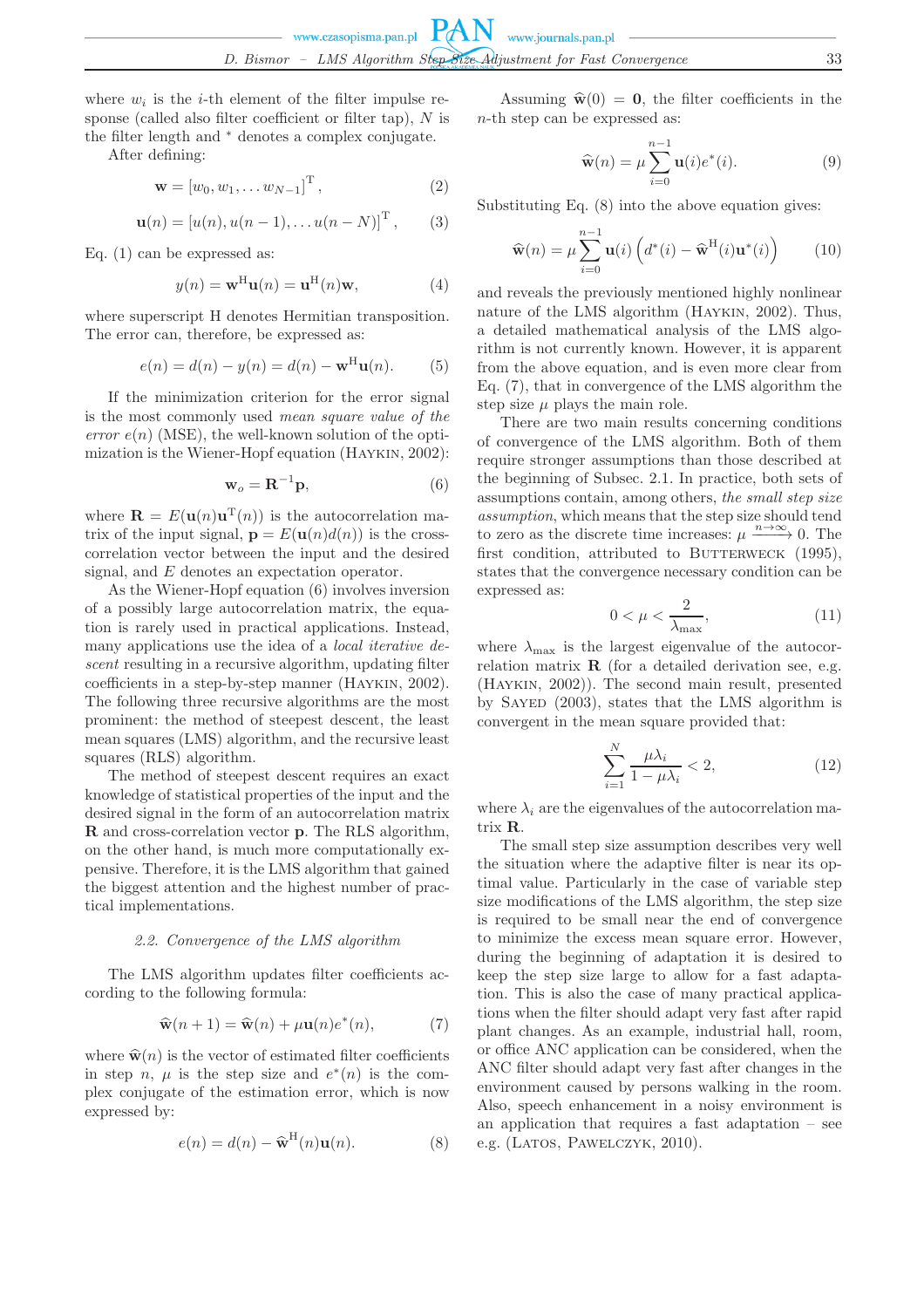where  $w_i$  is the *i*-th element of the filter impulse response (called also filter coefficient or filter tap),  $N$  is the filter length and <sup>∗</sup> denotes a complex conjugate.

After defining:

$$
\mathbf{w} = \left[w_0, w_1, \dots w_{N-1}\right]^{\mathrm{T}},\tag{2}
$$

$$
\mathbf{u}(n) = [u(n), u(n-1), \dots u(n-N)]^{T}, \qquad (3)
$$

Eq. (1) can be expressed as:

$$
y(n) = \mathbf{w}^{\mathrm{H}} \mathbf{u}(n) = \mathbf{u}^{\mathrm{H}}(n)\mathbf{w},\tag{4}
$$

where superscript H denotes Hermitian transposition. The error can, therefore, be expressed as:

$$
e(n) = d(n) - y(n) = d(n) - \mathbf{w}^{\mathrm{H}} \mathbf{u}(n).
$$
 (5)

If the minimization criterion for the error signal is the most commonly used *mean square value of the error*  $e(n)$  (MSE), the well-known solution of the optimization is the Wiener-Hopf equation (Haykin, 2002):

$$
\mathbf{w}_o = \mathbf{R}^{-1} \mathbf{p},\tag{6}
$$

where  $\mathbf{R} = E(\mathbf{u}(n)\mathbf{u}^{T}(n))$  is the autocorrelation matrix of the input signal,  $\mathbf{p} = E(\mathbf{u}(n)d(n))$  is the crosscorrelation vector between the input and the desired signal, and E denotes an expectation operator.

As the Wiener-Hopf equation (6) involves inversion of a possibly large autocorrelation matrix, the equation is rarely used in practical applications. Instead, many applications use the idea of a *local iterative descent* resulting in a recursive algorithm, updating filter coefficients in a step-by-step manner (Haykin, 2002). The following three recursive algorithms are the most prominent: the method of steepest descent, the least mean squares (LMS) algorithm, and the recursive least squares (RLS) algorithm.

The method of steepest descent requires an exact knowledge of statistical properties of the input and the desired signal in the form of an autocorrelation matrix **R** and cross-correlation vector **p**. The RLS algorithm, on the other hand, is much more computationally expensive. Therefore, it is the LMS algorithm that gained the biggest attention and the highest number of practical implementations.

#### *2.2. Convergence of the LMS algorithm*

The LMS algorithm updates filter coefficients according to the following formula:

$$
\widehat{\mathbf{w}}(n+1) = \widehat{\mathbf{w}}(n) + \mu \mathbf{u}(n) e^*(n),\tag{7}
$$

where  $\hat{\mathbf{w}}(n)$  is the vector of estimated filter coefficients in step n,  $\mu$  is the step size and  $e^*(n)$  is the complex conjugate of the estimation error, which is now expressed by:

$$
e(n) = d(n) - \widehat{\mathbf{w}}^{\mathrm{H}}(n)\mathbf{u}(n).
$$
 (8)

Assuming  $\hat{\mathbf{w}}(0) = \mathbf{0}$ , the filter coefficients in the n-th step can be expressed as:

$$
\widehat{\mathbf{w}}(n) = \mu \sum_{i=0}^{n-1} \mathbf{u}(i) e^*(i).
$$
 (9)

Substituting Eq. (8) into the above equation gives:

$$
\widehat{\mathbf{w}}(n) = \mu \sum_{i=0}^{n-1} \mathbf{u}(i) \left( d^*(i) - \widehat{\mathbf{w}}^{\mathrm{H}}(i) \mathbf{u}^*(i) \right) \tag{10}
$$

and reveals the previously mentioned highly nonlinear nature of the LMS algorithm (Haykin, 2002). Thus, a detailed mathematical analysis of the LMS algorithm is not currently known. However, it is apparent from the above equation, and is even more clear from Eq. (7), that in convergence of the LMS algorithm the step size  $\mu$  plays the main role.

There are two main results concerning conditions of convergence of the LMS algorithm. Both of them require stronger assumptions than those described at the beginning of Subsec. 2.1. In practice, both sets of assumptions contain, among others, *the small step size assumption*, which means that the step size should tend to zero as the discrete time increases:  $\mu \xrightarrow{n \to \infty} 0$ . The first condition, attributed to BUTTERWECK  $(1995)$ , states that the convergence necessary condition can be expressed as:

$$
0 < \mu < \frac{2}{\lambda_{\text{max}}},\tag{11}
$$

where  $\lambda_{\text{max}}$  is the largest eigenvalue of the autocorrelation matrix **R** (for a detailed derivation see, e.g. (Haykin, 2002)). The second main result, presented by Sayed (2003), states that the LMS algorithm is convergent in the mean square provided that:

$$
\sum_{i=1}^{N} \frac{\mu \lambda_i}{1 - \mu \lambda_i} < 2,\tag{12}
$$

where  $\lambda_i$  are the eigenvalues of the autocorrelation matrix **R**.

The small step size assumption describes very well the situation where the adaptive filter is near its optimal value. Particularly in the case of variable step size modifications of the LMS algorithm, the step size is required to be small near the end of convergence to minimize the excess mean square error. However, during the beginning of adaptation it is desired to keep the step size large to allow for a fast adaptation. This is also the case of many practical applications when the filter should adapt very fast after rapid plant changes. As an example, industrial hall, room, or office ANC application can be considered, when the ANC filter should adapt very fast after changes in the environment caused by persons walking in the room. Also, speech enhancement in a noisy environment is an application that requires a fast adaptation – see e.g. (LATOS, PAWELCZYK, 2010).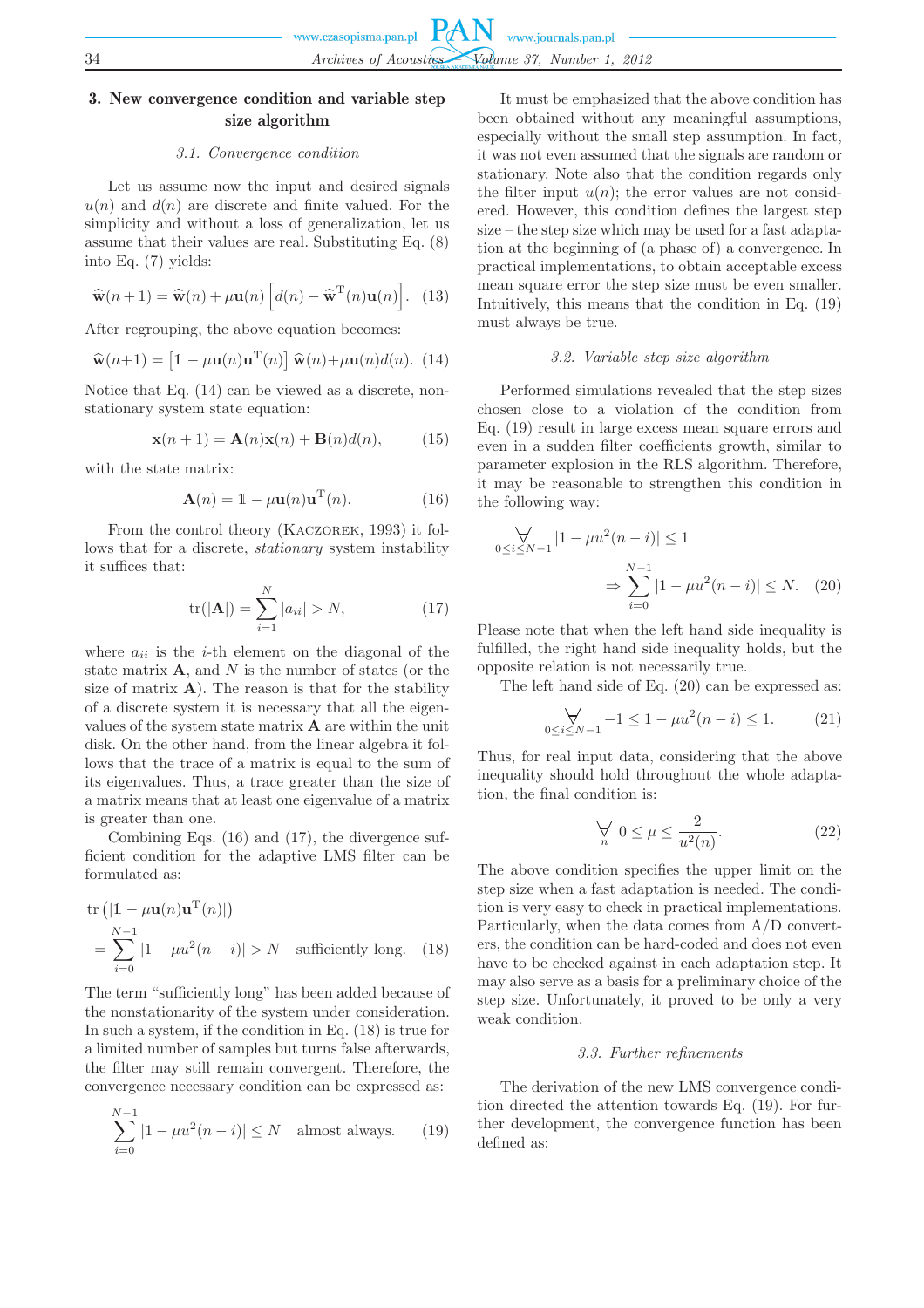# 3. New convergence condition and variable step size algorithm

# *3.1. Convergence condition*

Let us assume now the input and desired signals  $u(n)$  and  $d(n)$  are discrete and finite valued. For the simplicity and without a loss of generalization, let us assume that their values are real. Substituting Eq. (8) into Eq. (7) yields:

$$
\widehat{\mathbf{w}}(n+1) = \widehat{\mathbf{w}}(n) + \mu \mathbf{u}(n) \left[ d(n) - \widehat{\mathbf{w}}^{\mathrm{T}}(n) \mathbf{u}(n) \right]. \tag{13}
$$

After regrouping, the above equation becomes:

$$
\widehat{\mathbf{w}}(n+1) = \left[\mathbb{1} - \mu \mathbf{u}(n)\mathbf{u}^{\mathrm{T}}(n)\right] \widehat{\mathbf{w}}(n) + \mu \mathbf{u}(n) d(n). (14)
$$

Notice that Eq. (14) can be viewed as a discrete, nonstationary system state equation:

$$
\mathbf{x}(n+1) = \mathbf{A}(n)\mathbf{x}(n) + \mathbf{B}(n)d(n), \tag{15}
$$

with the state matrix:

$$
\mathbf{A}(n) = \mathbb{1} - \mu \mathbf{u}(n) \mathbf{u}^{\mathrm{T}}(n).
$$
 (16)

From the control theory (Kaczorek, 1993) it follows that for a discrete, *stationary* system instability it suffices that:

$$
\text{tr}(|\mathbf{A}|) = \sum_{i=1}^{N} |a_{ii}| > N,
$$
 (17)

where  $a_{ii}$  is the *i*-th element on the diagonal of the state matrix  $\mathbf{A}$ , and  $N$  is the number of states (or the size of matrix  $\bf{A}$ ). The reason is that for the stability of a discrete system it is necessary that all the eigenvalues of the system state matrix **A** are within the unit disk. On the other hand, from the linear algebra it follows that the trace of a matrix is equal to the sum of its eigenvalues. Thus, a trace greater than the size of a matrix means that at least one eigenvalue of a matrix is greater than one.

Combining Eqs. (16) and (17), the divergence sufficient condition for the adaptive LMS filter can be formulated as:

$$
\text{tr}\left(|\mathbb{1} - \mu \mathbf{u}(n)\mathbf{u}^{\text{T}}(n)|\right)
$$
\n
$$
= \sum_{i=0}^{N-1} |1 - \mu \mathbf{u}^2(n-i)| > N \quad \text{sufficiently long.} \quad (18)
$$

The term "sufficiently long" has been added because of the nonstationarity of the system under consideration. In such a system, if the condition in Eq. (18) is true for a limited number of samples but turns false afterwards, the filter may still remain convergent. Therefore, the convergence necessary condition can be expressed as:

$$
\sum_{i=0}^{N-1} |1 - \mu u^2 (n - i)| \le N \quad \text{almost always.} \tag{19}
$$

It must be emphasized that the above condition has been obtained without any meaningful assumptions, especially without the small step assumption. In fact, it was not even assumed that the signals are random or stationary. Note also that the condition regards only the filter input  $u(n)$ ; the error values are not considered. However, this condition defines the largest step size – the step size which may be used for a fast adaptation at the beginning of (a phase of) a convergence. In practical implementations, to obtain acceptable excess mean square error the step size must be even smaller. Intuitively, this means that the condition in Eq. (19) must always be true.

#### *3.2. Variable step size algorithm*

Performed simulations revealed that the step sizes chosen close to a violation of the condition from Eq. (19) result in large excess mean square errors and even in a sudden filter coefficients growth, similar to parameter explosion in the RLS algorithm. Therefore, it may be reasonable to strengthen this condition in the following way:

$$
\bigvee_{0 \le i \le N-1} |1 - \mu u^2 (n - i)| \le 1
$$
  

$$
\Rightarrow \sum_{i=0}^{N-1} |1 - \mu u^2 (n - i)| \le N. \quad (20)
$$

Please note that when the left hand side inequality is fulfilled, the right hand side inequality holds, but the opposite relation is not necessarily true.

The left hand side of Eq. (20) can be expressed as:

$$
\bigvee_{0 \le i \le N-1} -1 \le 1 - \mu u^2 (n-i) \le 1. \tag{21}
$$

Thus, for real input data, considering that the above inequality should hold throughout the whole adaptation, the final condition is:

$$
\bigvee_n \ 0 \le \mu \le \frac{2}{u^2(n)}.\tag{22}
$$

The above condition specifies the upper limit on the step size when a fast adaptation is needed. The condition is very easy to check in practical implementations. Particularly, when the data comes from A/D converters, the condition can be hard-coded and does not even have to be checked against in each adaptation step. It may also serve as a basis for a preliminary choice of the step size. Unfortunately, it proved to be only a very weak condition.

# *3.3. Further refinements*

The derivation of the new LMS convergence condition directed the attention towards Eq. (19). For further development, the convergence function has been defined as: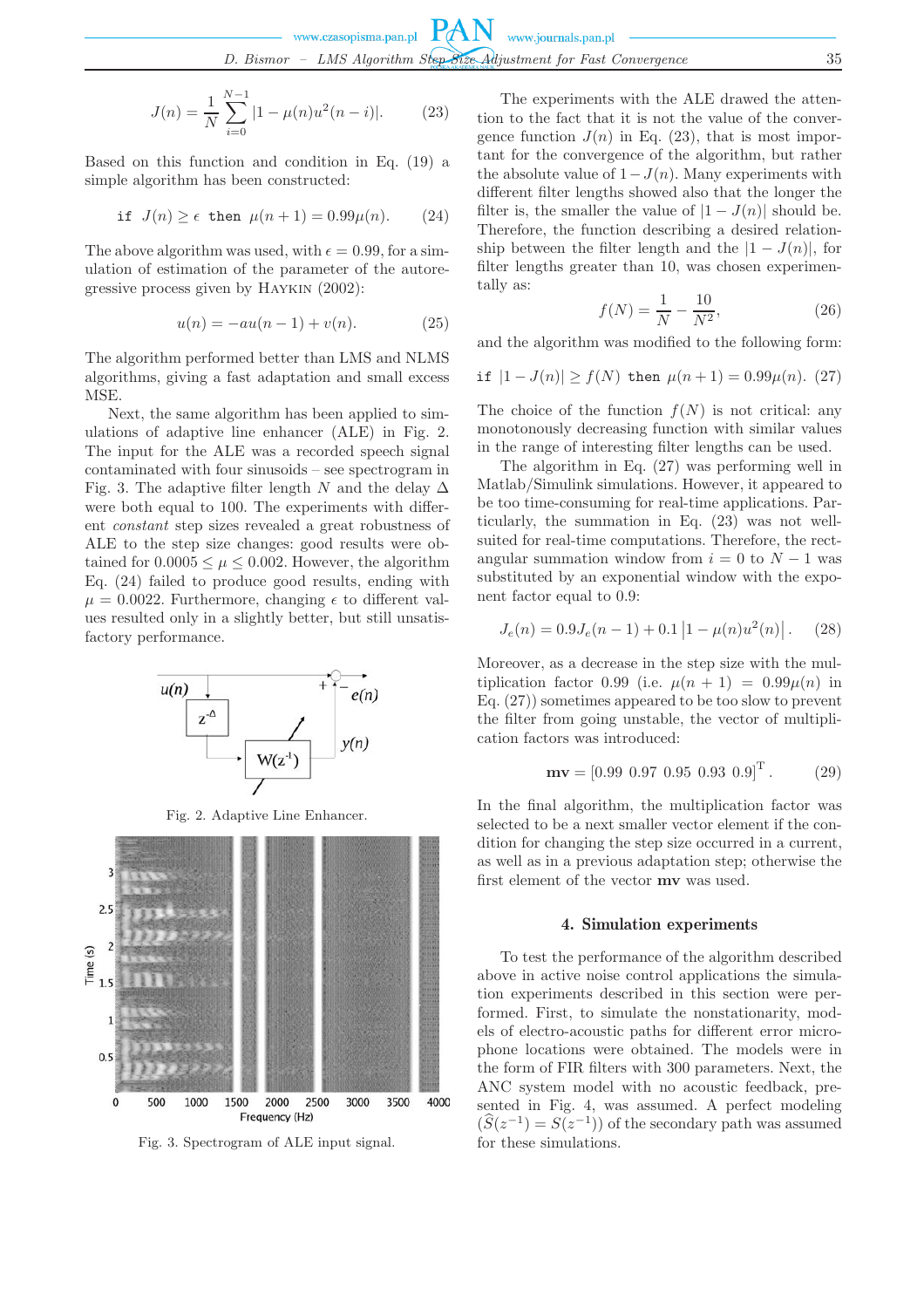$$
J(n) = \frac{1}{N} \sum_{i=0}^{N-1} |1 - \mu(n)u^2(n-i)|.
$$
 (23)

Based on this function and condition in Eq. (19) a simple algorithm has been constructed:

$$
\text{if } J(n) \ge \epsilon \text{ then } \mu(n+1) = 0.99\mu(n). \tag{24}
$$

The above algorithm was used, with  $\epsilon = 0.99$ , for a simulation of estimation of the parameter of the autoregressive process given by Haykin (2002):

$$
u(n) = -au(n-1) + v(n).
$$
 (25)

The algorithm performed better than LMS and NLMS algorithms, giving a fast adaptation and small excess MSE.

Next, the same algorithm has been applied to simulations of adaptive line enhancer (ALE) in Fig. 2. The input for the ALE was a recorded speech signal contaminated with four sinusoids – see spectrogram in Fig. 3. The adaptive filter length N and the delay  $\Delta$ were both equal to 100. The experiments with different *constant* step sizes revealed a great robustness of ALE to the step size changes: good results were obtained for  $0.0005 \leq \mu \leq 0.002$ . However, the algorithm Eq. (24) failed to produce good results, ending with  $\mu = 0.0022$ . Furthermore, changing  $\epsilon$  to different values resulted only in a slightly better, but still unsatisfactory performance.



Fig. 2. Adaptive Line Enhancer.



Fig. 3. Spectrogram of ALE input signal.

The experiments with the ALE drawed the attention to the fact that it is not the value of the convergence function  $J(n)$  in Eq. (23), that is most important for the convergence of the algorithm, but rather the absolute value of  $1-J(n)$ . Many experiments with different filter lengths showed also that the longer the filter is, the smaller the value of  $|1 - J(n)|$  should be. Therefore, the function describing a desired relationship between the filter length and the  $|1 - J(n)|$ , for filter lengths greater than 10, was chosen experimentally as:

$$
f(N) = \frac{1}{N} - \frac{10}{N^2},
$$
\n(26)

and the algorithm was modified to the following form:

$$
\text{if } |1 - J(n)| \ge f(N) \text{ then } \mu(n+1) = 0.99\mu(n). \tag{27}
$$

The choice of the function  $f(N)$  is not critical: any monotonously decreasing function with similar values in the range of interesting filter lengths can be used.

The algorithm in Eq. (27) was performing well in Matlab/Simulink simulations. However, it appeared to be too time-consuming for real-time applications. Particularly, the summation in Eq. (23) was not wellsuited for real-time computations. Therefore, the rectangular summation window from  $i = 0$  to  $N - 1$  was substituted by an exponential window with the exponent factor equal to 0.9:

$$
J_e(n) = 0.9J_e(n-1) + 0.1 |1 - \mu(n)u^2(n)|.
$$
 (28)

Moreover, as a decrease in the step size with the multiplication factor 0.99 (i.e.  $\mu(n+1) = 0.99\mu(n)$  in Eq. (27)) sometimes appeared to be too slow to prevent the filter from going unstable, the vector of multiplication factors was introduced:

$$
\mathbf{mv} = [0.99 \ 0.97 \ 0.95 \ 0.93 \ 0.9]^{\mathrm{T}}. \tag{29}
$$

In the final algorithm, the multiplication factor was selected to be a next smaller vector element if the condition for changing the step size occurred in a current, as well as in a previous adaptation step; otherwise the first element of the vector **mv** was used.

# 4. Simulation experiments

To test the performance of the algorithm described above in active noise control applications the simulation experiments described in this section were performed. First, to simulate the nonstationarity, models of electro-acoustic paths for different error microphone locations were obtained. The models were in the form of FIR filters with 300 parameters. Next, the ANC system model with no acoustic feedback, presented in Fig. 4, was assumed. A perfect modeling  $(\widehat{S}(z^{-1}) = S(z^{-1}))$  of the secondary path was assumed for these simulations.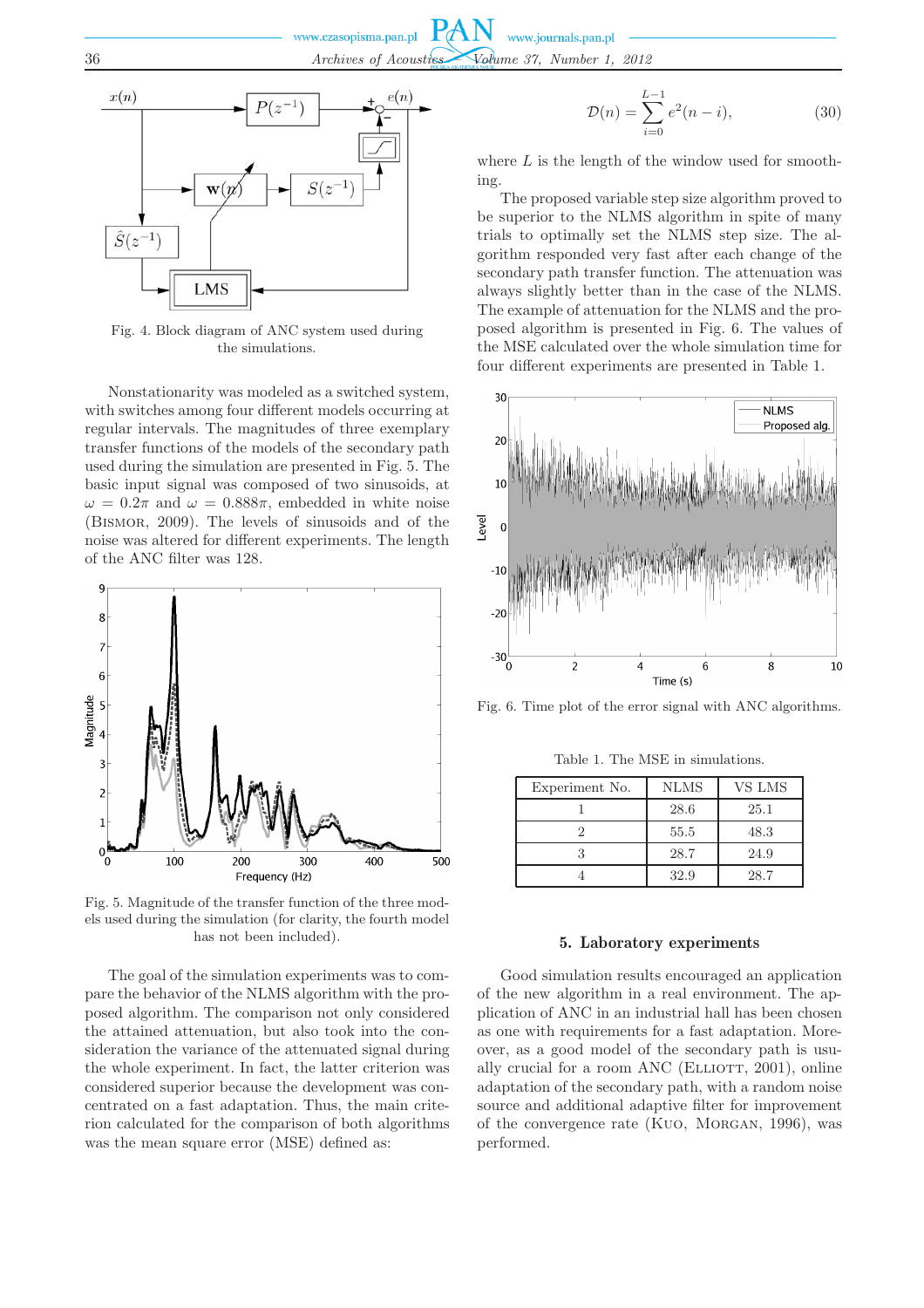

Fig. 4. Block diagram of ANC system used during the simulations.

Nonstationarity was modeled as a switched system, with switches among four different models occurring at regular intervals. The magnitudes of three exemplary transfer functions of the models of the secondary path used during the simulation are presented in Fig. 5. The basic input signal was composed of two sinusoids, at  $\omega = 0.2\pi$  and  $\omega = 0.888\pi$ , embedded in white noise (Bismor, 2009). The levels of sinusoids and of the noise was altered for different experiments. The length of the ANC filter was 128.



Fig. 5. Magnitude of the transfer function of the three models used during the simulation (for clarity, the fourth model has not been included).

The goal of the simulation experiments was to compare the behavior of the NLMS algorithm with the proposed algorithm. The comparison not only considered the attained attenuation, but also took into the consideration the variance of the attenuated signal during the whole experiment. In fact, the latter criterion was considered superior because the development was concentrated on a fast adaptation. Thus, the main criterion calculated for the comparison of both algorithms was the mean square error (MSE) defined as:

$$
\mathcal{D}(n) = \sum_{i=0}^{L-1} e^2(n-i),
$$
\n(30)

where  $L$  is the length of the window used for smoothing.

The proposed variable step size algorithm proved to be superior to the NLMS algorithm in spite of many trials to optimally set the NLMS step size. The algorithm responded very fast after each change of the secondary path transfer function. The attenuation was always slightly better than in the case of the NLMS. The example of attenuation for the NLMS and the proposed algorithm is presented in Fig. 6. The values of the MSE calculated over the whole simulation time for four different experiments are presented in Table 1.



Fig. 6. Time plot of the error signal with ANC algorithms.

Table 1. The MSE in simulations.

| Experiment No. | <b>NLMS</b> | VS LMS |
|----------------|-------------|--------|
|                | 28.6        | 25.1   |
|                | 55.5        | 48.3   |
|                | 28.7        | 24.9   |
|                | 32.9        | 28.7   |

# 5. Laboratory experiments

Good simulation results encouraged an application of the new algorithm in a real environment. The application of ANC in an industrial hall has been chosen as one with requirements for a fast adaptation. Moreover, as a good model of the secondary path is usually crucial for a room ANC (ELLIOTT,  $2001$ ), online adaptation of the secondary path, with a random noise source and additional adaptive filter for improvement of the convergence rate (Kuo, Morgan, 1996), was performed.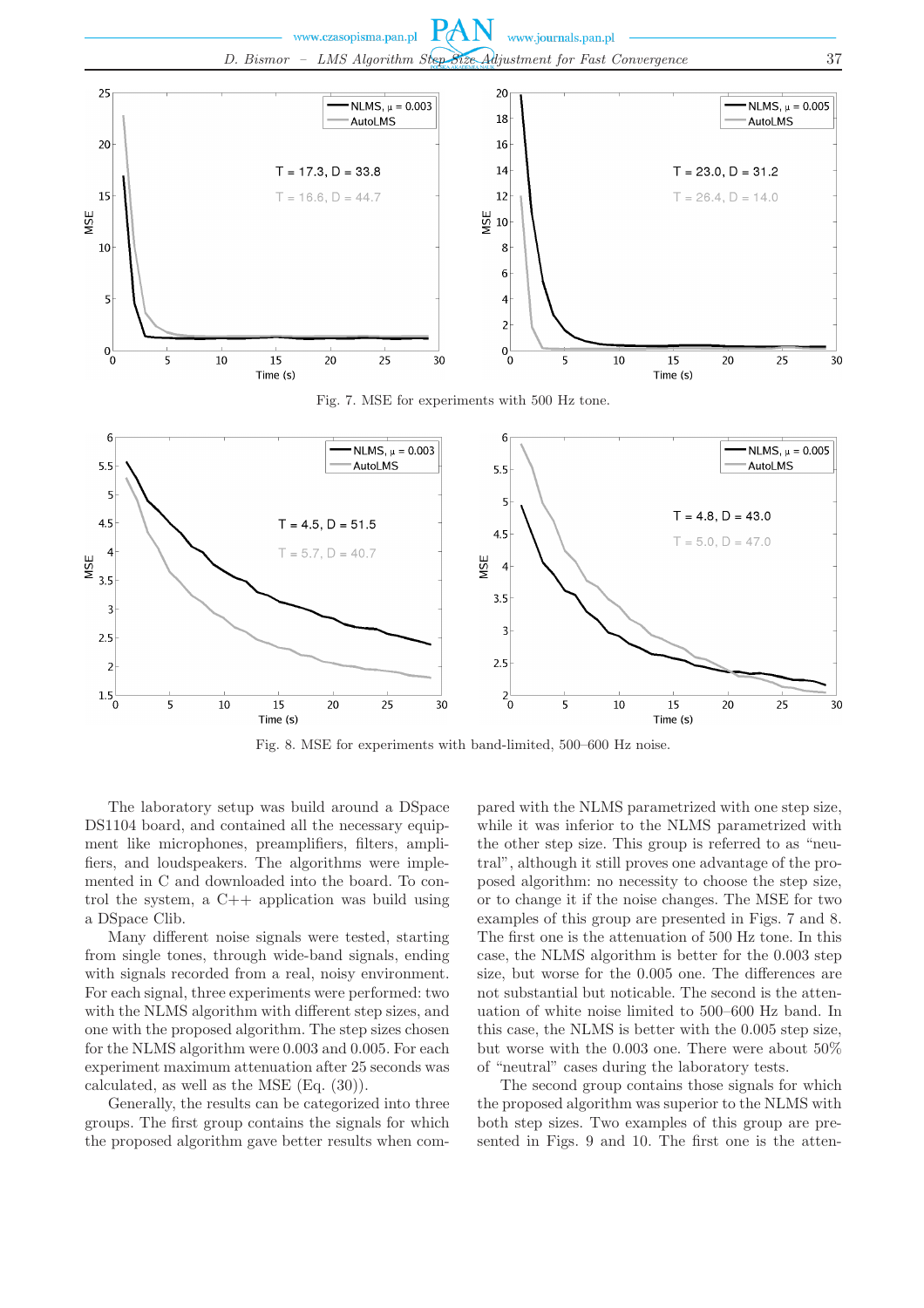**PAN** www.czasopisma.pan.pl www.journals.pan.pl *D. Bismor – LMS Algorithm Step Size Adjustment for Fast Convergence* 37



Fig. 8. MSE for experiments with band-limited, 500–600 Hz noise.

The laboratory setup was build around a DSpace DS1104 board, and contained all the necessary equipment like microphones, preamplifiers, filters, amplifiers, and loudspeakers. The algorithms were implemented in C and downloaded into the board. To control the system, a C++ application was build using a DSpace Clib.

Many different noise signals were tested, starting from single tones, through wide-band signals, ending with signals recorded from a real, noisy environment. For each signal, three experiments were performed: two with the NLMS algorithm with different step sizes, and one with the proposed algorithm. The step sizes chosen for the NLMS algorithm were 0.003 and 0.005. For each experiment maximum attenuation after 25 seconds was calculated, as well as the MSE (Eq. (30)).

Generally, the results can be categorized into three groups. The first group contains the signals for which the proposed algorithm gave better results when com-

pared with the NLMS parametrized with one step size, while it was inferior to the NLMS parametrized with the other step size. This group is referred to as "neutral", although it still proves one advantage of the proposed algorithm: no necessity to choose the step size, or to change it if the noise changes. The MSE for two examples of this group are presented in Figs. 7 and 8. The first one is the attenuation of 500 Hz tone. In this case, the NLMS algorithm is better for the 0.003 step size, but worse for the 0.005 one. The differences are not substantial but noticable. The second is the attenuation of white noise limited to 500–600 Hz band. In this case, the NLMS is better with the 0.005 step size, but worse with the 0.003 one. There were about 50% of "neutral" cases during the laboratory tests.

The second group contains those signals for which the proposed algorithm was superior to the NLMS with both step sizes. Two examples of this group are presented in Figs. 9 and 10. The first one is the atten-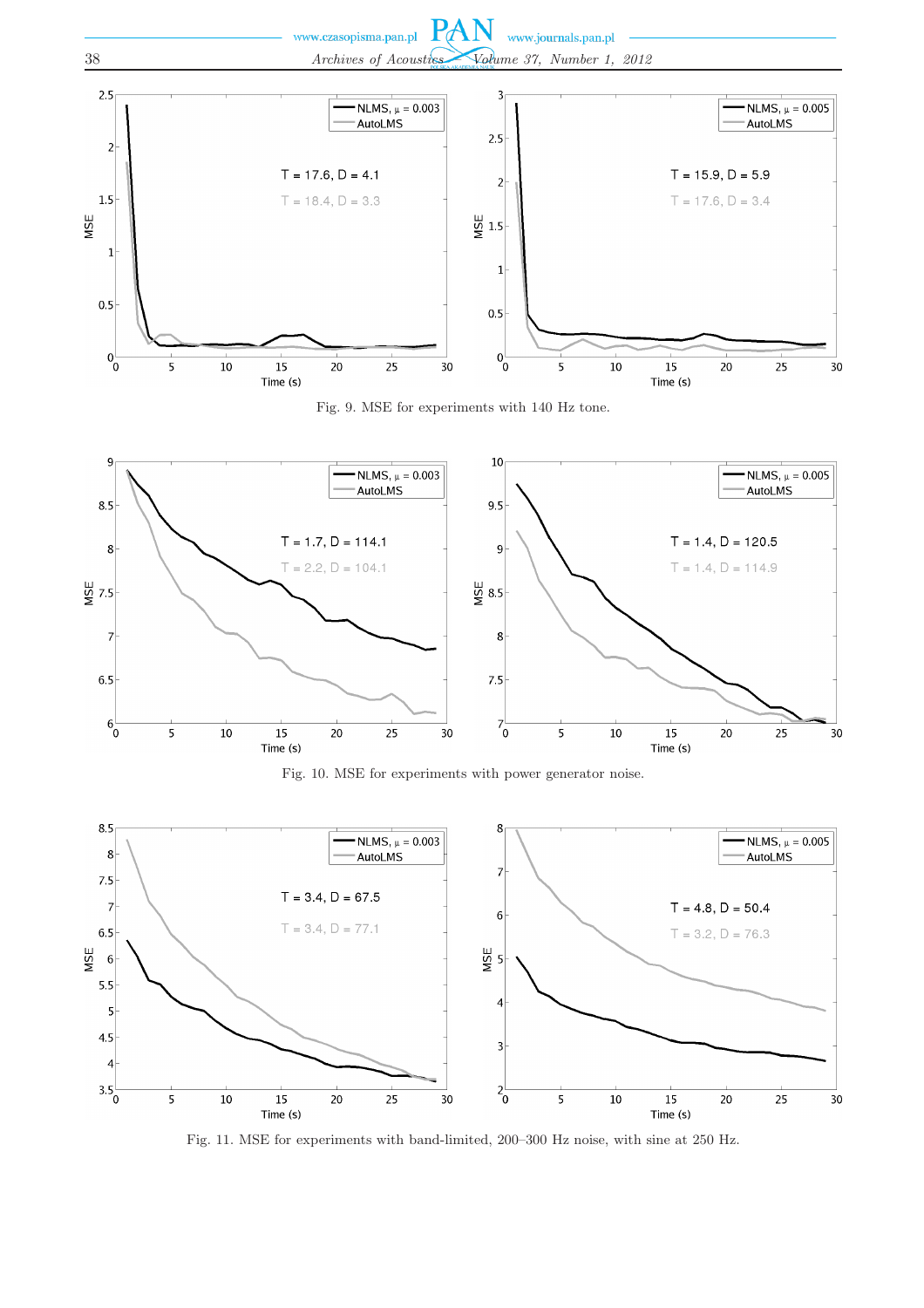

Fig. 9. MSE for experiments with 140 Hz tone.



Fig. 10. MSE for experiments with power generator noise.



Fig. 11. MSE for experiments with band-limited, 200–300 Hz noise, with sine at 250 Hz.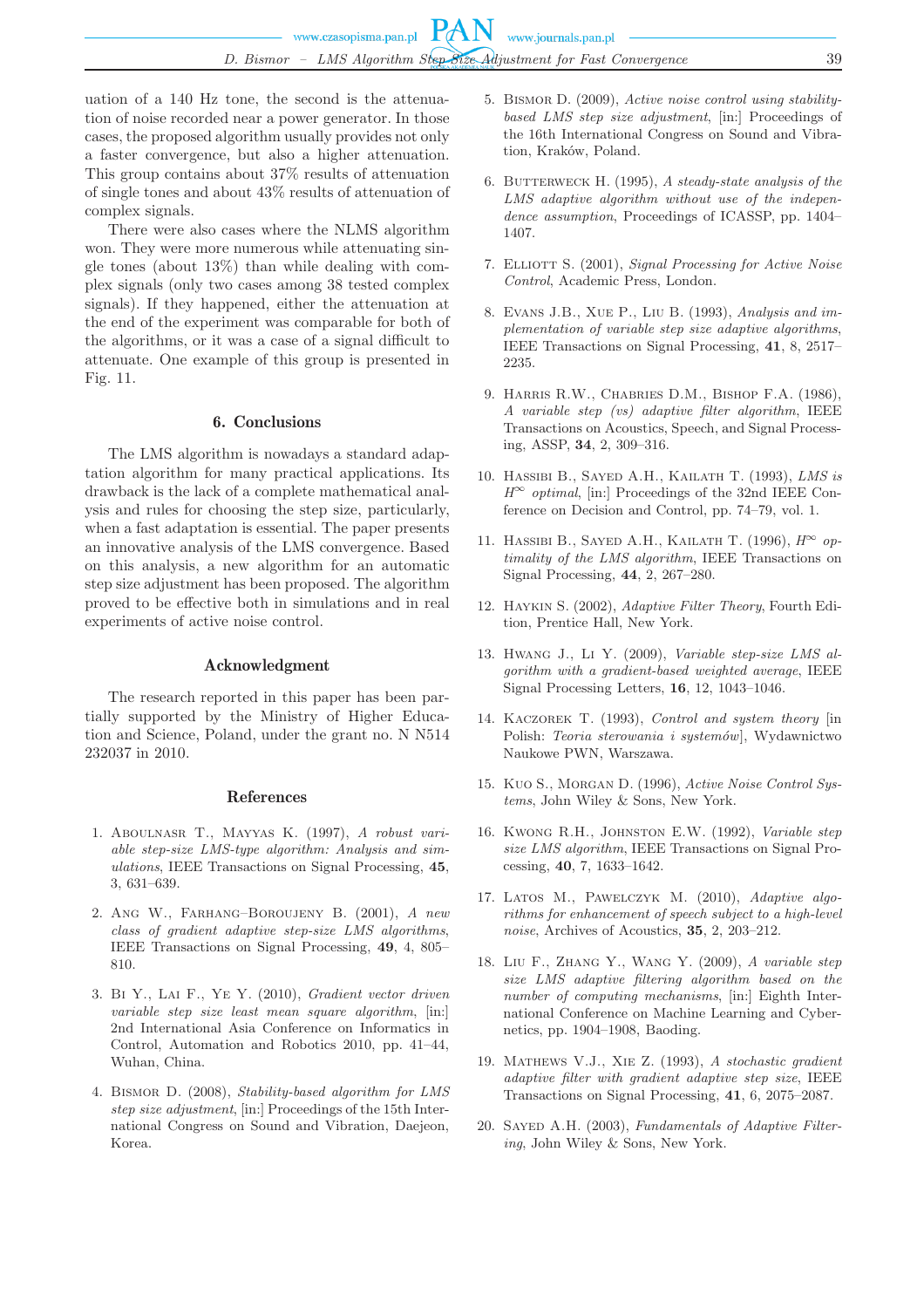uation of a 140 Hz tone, the second is the attenuation of noise recorded near a power generator. In those cases, the proposed algorithm usually provides not only a faster convergence, but also a higher attenuation. This group contains about 37% results of attenuation of single tones and about 43% results of attenuation of complex signals.

There were also cases where the NLMS algorithm won. They were more numerous while attenuating single tones (about 13%) than while dealing with complex signals (only two cases among 38 tested complex signals). If they happened, either the attenuation at the end of the experiment was comparable for both of the algorithms, or it was a case of a signal difficult to attenuate. One example of this group is presented in Fig. 11.

#### 6. Conclusions

The LMS algorithm is nowadays a standard adaptation algorithm for many practical applications. Its drawback is the lack of a complete mathematical analysis and rules for choosing the step size, particularly, when a fast adaptation is essential. The paper presents an innovative analysis of the LMS convergence. Based on this analysis, a new algorithm for an automatic step size adjustment has been proposed. The algorithm proved to be effective both in simulations and in real experiments of active noise control.

#### Acknowledgment

The research reported in this paper has been partially supported by the Ministry of Higher Education and Science, Poland, under the grant no. N N514 232037 in 2010.

#### References

- 1. Aboulnasr T., Mayyas K. (1997), *A robust variable step-size LMS-type algorithm: Analysis and simulations*, IEEE Transactions on Signal Processing, **45**, 3, 631–639.
- 2. Ang W., Farhang–Boroujeny B. (2001), *A new class of gradient adaptive step-size LMS algorithms*, IEEE Transactions on Signal Processing, **49**, 4, 805– 810.
- 3. Bi Y., Lai F., Ye Y. (2010), *Gradient vector driven variable step size least mean square algorithm*, [in:] 2nd International Asia Conference on Informatics in Control, Automation and Robotics 2010, pp. 41–44, Wuhan, China.
- 4. Bismor D. (2008), *Stability-based algorithm for LMS step size adjustment*, [in:] Proceedings of the 15th International Congress on Sound and Vibration, Daejeon, Korea.
- 5. Bismor D. (2009), *Active noise control using stabilitybased LMS step size adjustment*, [in:] Proceedings of the 16th International Congress on Sound and Vibration, Kraków, Poland.
- 6. Butterweck H. (1995), *A steady-state analysis of the LMS adaptive algorithm without use of the independence assumption*, Proceedings of ICASSP, pp. 1404– 1407.
- 7. Elliott S. (2001), *Signal Processing for Active Noise Control*, Academic Press, London.
- 8. Evans J.B., Xue P., Liu B. (1993), *Analysis and implementation of variable step size adaptive algorithms*, IEEE Transactions on Signal Processing, **41**, 8, 2517– 2235.
- 9. Harris R.W., Chabries D.M., Bishop F.A. (1986), *A variable step (vs) adaptive filter algorithm*, IEEE Transactions on Acoustics, Speech, and Signal Processing, ASSP, **34**, 2, 309–316.
- 10. Hassibi B., Sayed A.H., Kailath T. (1993), *LMS is*  $H^{\infty}$  *optimal*, [in:] Proceedings of the 32nd IEEE Conference on Decision and Control, pp. 74–79, vol. 1.
- 11. Hassibi B., Sayed A.H., Kailath T. (1996), *H* <sup>∞</sup> *optimality of the LMS algorithm*, IEEE Transactions on Signal Processing, **44**, 2, 267–280.
- 12. Haykin S. (2002), *Adaptive Filter Theory*, Fourth Edition, Prentice Hall, New York.
- 13. Hwang J., Li Y. (2009), *Variable step-size LMS algorithm with a gradient-based weighted average*, IEEE Signal Processing Letters, **16**, 12, 1043–1046.
- 14. Kaczorek T. (1993), *Control and system theory* [in Polish: *Teoria sterowania i systemów*], Wydawnictwo Naukowe PWN, Warszawa.
- 15. Kuo S., Morgan D. (1996), *Active Noise Control Systems*, John Wiley & Sons, New York.
- 16. Kwong R.H., Johnston E.W. (1992), *Variable step size LMS algorithm*, IEEE Transactions on Signal Processing, **40**, 7, 1633–1642.
- 17. Latos M., Pawelczyk M. (2010), *Adaptive algorithms for enhancement of speech subject to a high-level noise*, Archives of Acoustics, **35**, 2, 203–212.
- 18. Liu F., Zhang Y., Wang Y. (2009), *A variable step size LMS adaptive filtering algorithm based on the number of computing mechanisms*, [in:] Eighth International Conference on Machine Learning and Cybernetics, pp. 1904–1908, Baoding.
- 19. Mathews V.J., Xie Z. (1993), *A stochastic gradient adaptive filter with gradient adaptive step size*, IEEE Transactions on Signal Processing, **41**, 6, 2075–2087.
- 20. Sayed A.H. (2003), *Fundamentals of Adaptive Filtering*, John Wiley & Sons, New York.